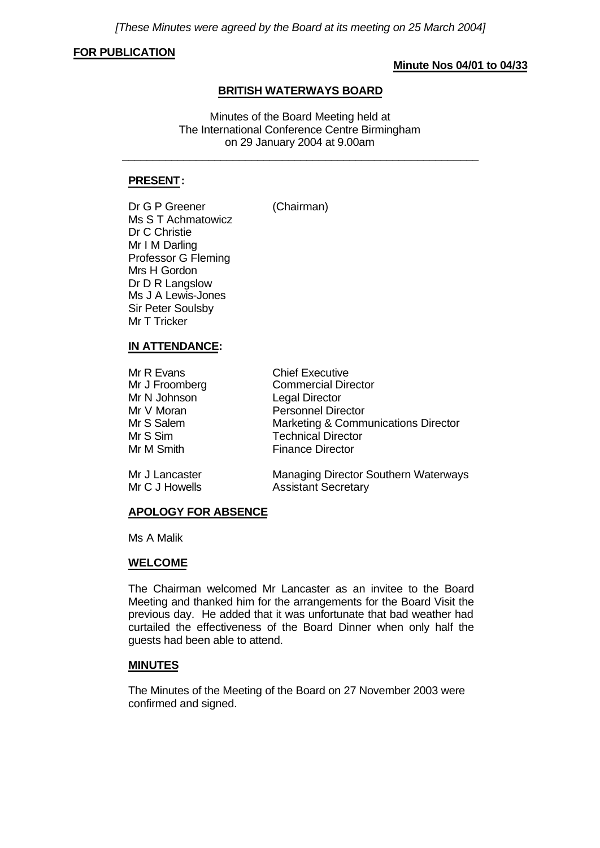*[These Minutes were agreed by the Board at its meeting on 25 March 2004]*

### **FOR PUBLICATION**

## **Minute Nos 04/01 to 04/33**

## **BRITISH WATERWAYS BOARD**

Minutes of the Board Meeting held at The International Conference Centre Birmingham on 29 January 2004 at 9.00am

\_\_\_\_\_\_\_\_\_\_\_\_\_\_\_\_\_\_\_\_\_\_\_\_\_\_\_\_\_\_\_\_\_\_\_\_\_\_\_\_\_\_\_\_\_\_\_\_\_\_\_\_\_\_\_\_\_\_

## **PRESENT:**

Dr G P Greener (Chairman) Ms S T Achmatowicz Dr C Christie Mr I M Darling Professor G Fleming Mrs H Gordon Dr D R Langslow Ms J A Lewis-Jones Sir Peter Soulsby Mr T Tricker

# **IN ATTENDANCE:**

| Mr R Evans           | <b>Chief Executive</b>              |
|----------------------|-------------------------------------|
| Mr J Froomberg       | <b>Commercial Director</b>          |
| Mr N Johnson         | <b>Legal Director</b>               |
| Mr V Moran           | <b>Personnel Director</b>           |
| Mr S Salem           | Marketing & Communications Director |
| Mr S Sim             | <b>Technical Director</b>           |
| Mr M Smith           | <b>Finance Director</b>             |
| $Mr$ , $I$ $on$ $of$ | Managing Director Couthorn Waterway |

Mr J Lancaster **Managing Director Southern Waterways** Mr C J Howells **Assistant Secretary** 

## **APOLOGY FOR ABSENCE**

Ms A Malik

### **WELCOME**

The Chairman welcomed Mr Lancaster as an invitee to the Board Meeting and thanked him for the arrangements for the Board Visit the previous day. He added that it was unfortunate that bad weather had curtailed the effectiveness of the Board Dinner when only half the guests had been able to attend.

## **MINUTES**

The Minutes of the Meeting of the Board on 27 November 2003 were confirmed and signed.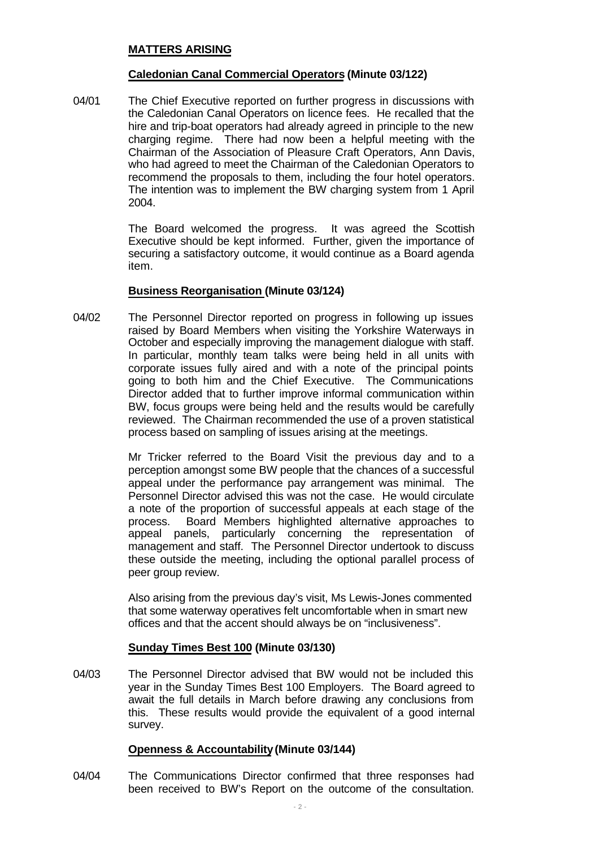## **MATTERS ARISING**

### **Caledonian Canal Commercial Operators (Minute 03/122)**

04/01 The Chief Executive reported on further progress in discussions with the Caledonian Canal Operators on licence fees. He recalled that the hire and trip-boat operators had already agreed in principle to the new charging regime. There had now been a helpful meeting with the Chairman of the Association of Pleasure Craft Operators, Ann Davis, who had agreed to meet the Chairman of the Caledonian Operators to recommend the proposals to them, including the four hotel operators. The intention was to implement the BW charging system from 1 April 2004.

> The Board welcomed the progress. It was agreed the Scottish Executive should be kept informed. Further, given the importance of securing a satisfactory outcome, it would continue as a Board agenda item.

### **Business Reorganisation (Minute 03/124)**

04/02 The Personnel Director reported on progress in following up issues raised by Board Members when visiting the Yorkshire Waterways in October and especially improving the management dialogue with staff. In particular, monthly team talks were being held in all units with corporate issues fully aired and with a note of the principal points going to both him and the Chief Executive. The Communications Director added that to further improve informal communication within BW, focus groups were being held and the results would be carefully reviewed. The Chairman recommended the use of a proven statistical process based on sampling of issues arising at the meetings.

> Mr Tricker referred to the Board Visit the previous day and to a perception amongst some BW people that the chances of a successful appeal under the performance pay arrangement was minimal. The Personnel Director advised this was not the case. He would circulate a note of the proportion of successful appeals at each stage of the process. Board Members highlighted alternative approaches to appeal panels, particularly concerning the representation of management and staff. The Personnel Director undertook to discuss these outside the meeting, including the optional parallel process of peer group review.

> Also arising from the previous day's visit, Ms Lewis-Jones commented that some waterway operatives felt uncomfortable when in smart new offices and that the accent should always be on "inclusiveness".

## **Sunday Times Best 100 (Minute 03/130)**

04/03 The Personnel Director advised that BW would not be included this year in the Sunday Times Best 100 Employers. The Board agreed to await the full details in March before drawing any conclusions from this. These results would provide the equivalent of a good internal survey.

## **Openness & Accountability(Minute 03/144)**

04/04 The Communications Director confirmed that three responses had been received to BW's Report on the outcome of the consultation.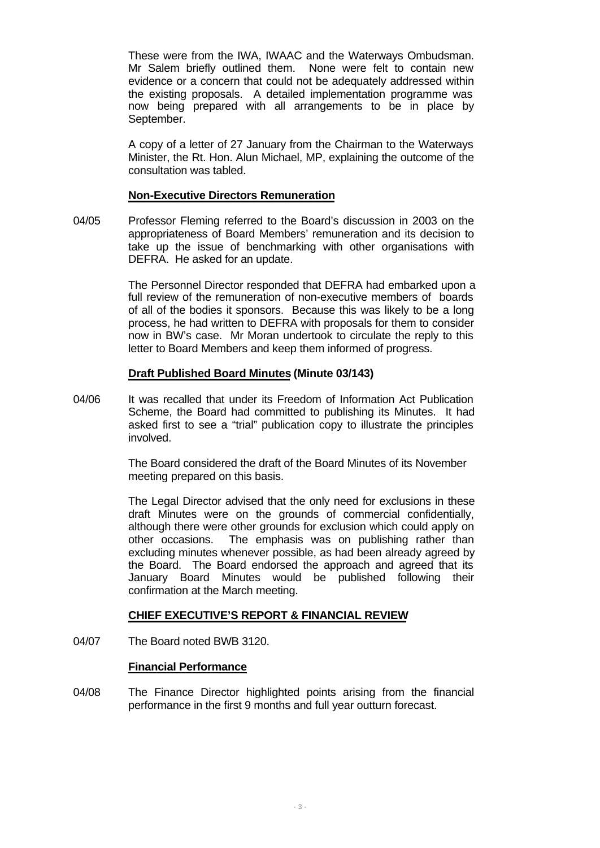These were from the IWA, IWAAC and the Waterways Ombudsman. Mr Salem briefly outlined them. None were felt to contain new evidence or a concern that could not be adequately addressed within the existing proposals. A detailed implementation programme was now being prepared with all arrangements to be in place by September.

A copy of a letter of 27 January from the Chairman to the Waterways Minister, the Rt. Hon. Alun Michael, MP, explaining the outcome of the consultation was tabled.

#### **Non-Executive Directors Remuneration**

04/05 Professor Fleming referred to the Board's discussion in 2003 on the appropriateness of Board Members' remuneration and its decision to take up the issue of benchmarking with other organisations with DEFRA. He asked for an update.

> The Personnel Director responded that DEFRA had embarked upon a full review of the remuneration of non-executive members of boards of all of the bodies it sponsors. Because this was likely to be a long process, he had written to DEFRA with proposals for them to consider now in BW's case. Mr Moran undertook to circulate the reply to this letter to Board Members and keep them informed of progress.

### **Draft Published Board Minutes (Minute 03/143)**

04/06 It was recalled that under its Freedom of Information Act Publication Scheme, the Board had committed to publishing its Minutes. It had asked first to see a "trial" publication copy to illustrate the principles involved.

> The Board considered the draft of the Board Minutes of its November meeting prepared on this basis.

The Legal Director advised that the only need for exclusions in these draft Minutes were on the grounds of commercial confidentially, although there were other grounds for exclusion which could apply on other occasions. The emphasis was on publishing rather than excluding minutes whenever possible, as had been already agreed by the Board. The Board endorsed the approach and agreed that its January Board Minutes would be published following their confirmation at the March meeting.

## **CHIEF EXECUTIVE'S REPORT & FINANCIAL REVIEW**

04/07 The Board noted BWB 3120.

#### **Financial Performance**

04/08 The Finance Director highlighted points arising from the financial performance in the first 9 months and full year outturn forecast.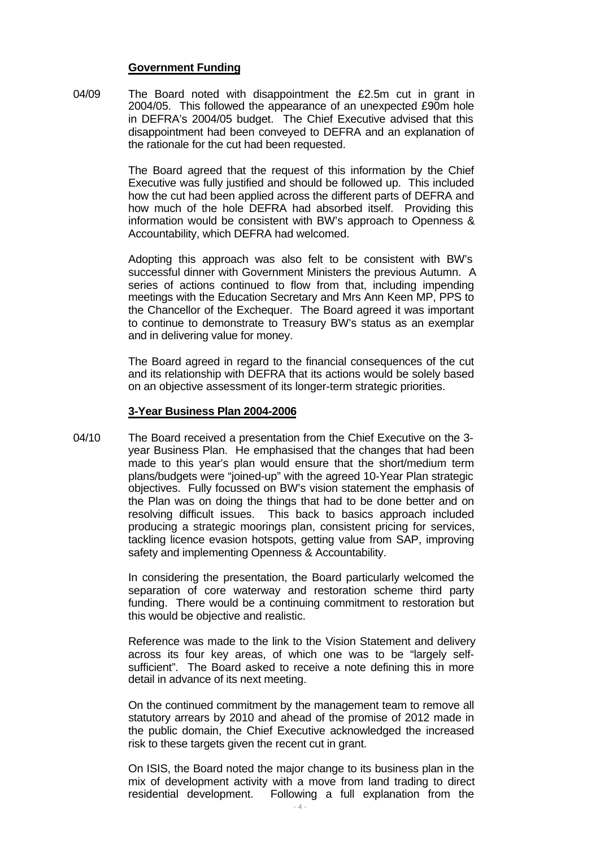#### **Government Funding**

04/09 The Board noted with disappointment the £2.5m cut in grant in 2004/05. This followed the appearance of an unexpected £90m hole in DEFRA's 2004/05 budget. The Chief Executive advised that this disappointment had been conveyed to DEFRA and an explanation of the rationale for the cut had been requested.

> The Board agreed that the request of this information by the Chief Executive was fully justified and should be followed up. This included how the cut had been applied across the different parts of DEFRA and how much of the hole DEFRA had absorbed itself. Providing this information would be consistent with BW's approach to Openness & Accountability, which DEFRA had welcomed.

> Adopting this approach was also felt to be consistent with BW's successful dinner with Government Ministers the previous Autumn. A series of actions continued to flow from that, including impending meetings with the Education Secretary and Mrs Ann Keen MP, PPS to the Chancellor of the Exchequer. The Board agreed it was important to continue to demonstrate to Treasury BW's status as an exemplar and in delivering value for money.

> The Board agreed in regard to the financial consequences of the cut and its relationship with DEFRA that its actions would be solely based on an objective assessment of its longer-term strategic priorities.

#### **3-Year Business Plan 2004-2006**

04/10 The Board received a presentation from the Chief Executive on the 3 year Business Plan. He emphasised that the changes that had been made to this year's plan would ensure that the short/medium term plans/budgets were "joined-up" with the agreed 10-Year Plan strategic objectives. Fully focussed on BW's vision statement the emphasis of the Plan was on doing the things that had to be done better and on resolving difficult issues. This back to basics approach included producing a strategic moorings plan, consistent pricing for services, tackling licence evasion hotspots, getting value from SAP, improving safety and implementing Openness & Accountability.

> In considering the presentation, the Board particularly welcomed the separation of core waterway and restoration scheme third party funding. There would be a continuing commitment to restoration but this would be objective and realistic.

> Reference was made to the link to the Vision Statement and delivery across its four key areas, of which one was to be "largely selfsufficient". The Board asked to receive a note defining this in more detail in advance of its next meeting.

> On the continued commitment by the management team to remove all statutory arrears by 2010 and ahead of the promise of 2012 made in the public domain, the Chief Executive acknowledged the increased risk to these targets given the recent cut in grant.

> On ISIS, the Board noted the major change to its business plan in the mix of development activity with a move from land trading to direct residential development. Following a full explanation from the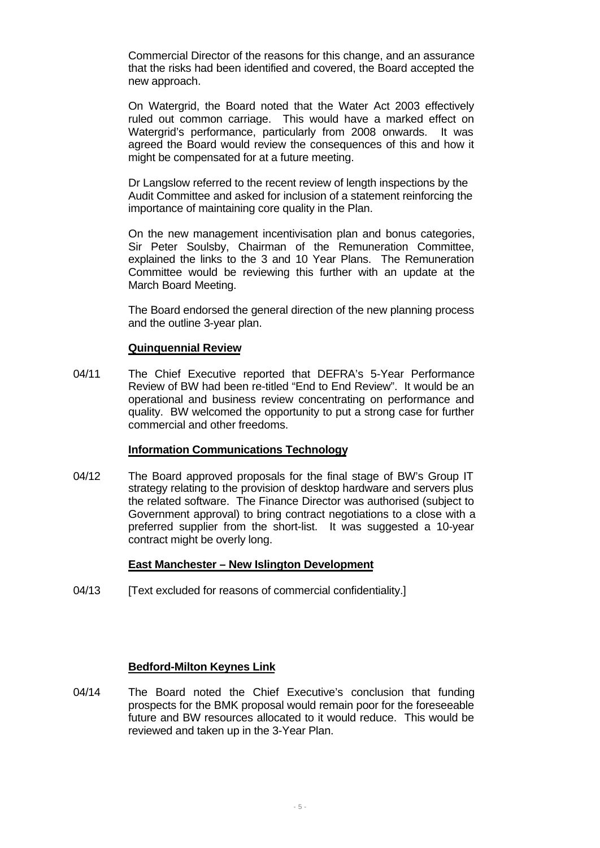Commercial Director of the reasons for this change, and an assurance that the risks had been identified and covered, the Board accepted the new approach.

On Watergrid, the Board noted that the Water Act 2003 effectively ruled out common carriage. This would have a marked effect on Watergrid's performance, particularly from 2008 onwards. It was agreed the Board would review the consequences of this and how it might be compensated for at a future meeting.

Dr Langslow referred to the recent review of length inspections by the Audit Committee and asked for inclusion of a statement reinforcing the importance of maintaining core quality in the Plan.

On the new management incentivisation plan and bonus categories, Sir Peter Soulsby, Chairman of the Remuneration Committee, explained the links to the 3 and 10 Year Plans. The Remuneration Committee would be reviewing this further with an update at the March Board Meeting.

The Board endorsed the general direction of the new planning process and the outline 3-year plan.

## **Quinquennial Review**

04/11 The Chief Executive reported that DEFRA's 5-Year Performance Review of BW had been re-titled "End to End Review". It would be an operational and business review concentrating on performance and quality. BW welcomed the opportunity to put a strong case for further commercial and other freedoms.

## **Information Communications Technology**

04/12 The Board approved proposals for the final stage of BW's Group IT strategy relating to the provision of desktop hardware and servers plus the related software. The Finance Director was authorised (subject to Government approval) to bring contract negotiations to a close with a preferred supplier from the short-list. It was suggested a 10-year contract might be overly long.

## **East Manchester – New Islington Development**

04/13 [Text excluded for reasons of commercial confidentiality.]

## **Bedford-Milton Keynes Link**

04/14 The Board noted the Chief Executive's conclusion that funding prospects for the BMK proposal would remain poor for the foreseeable future and BW resources allocated to it would reduce. This would be reviewed and taken up in the 3-Year Plan.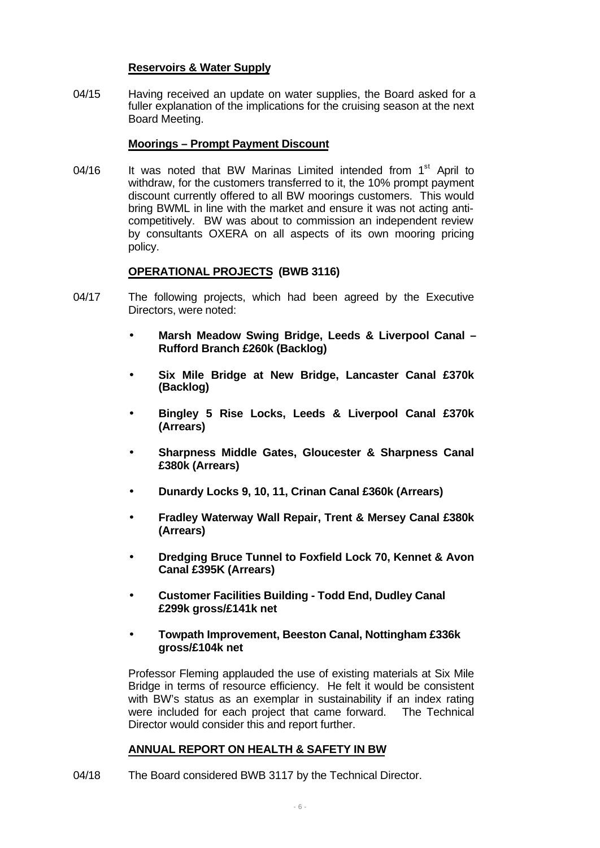## **Reservoirs & Water Supply**

04/15 Having received an update on water supplies, the Board asked for a fuller explanation of the implications for the cruising season at the next Board Meeting.

### **Moorings – Prompt Payment Discount**

04/16 It was noted that BW Marinas Limited intended from 1<sup>st</sup> April to withdraw, for the customers transferred to it, the 10% prompt payment discount currently offered to all BW moorings customers. This would bring BWML in line with the market and ensure it was not acting anticompetitively. BW was about to commission an independent review by consultants OXERA on all aspects of its own mooring pricing policy.

## **OPERATIONAL PROJECTS (BWB 3116)**

- 04/17 The following projects, which had been agreed by the Executive Directors, were noted:
	- **· Marsh Meadow Swing Bridge, Leeds & Liverpool Canal – Rufford Branch £260k (Backlog)**
	- **· Six Mile Bridge at New Bridge, Lancaster Canal £370k (Backlog)**
	- **· Bingley 5 Rise Locks, Leeds & Liverpool Canal £370k (Arrears)**
	- **· Sharpness Middle Gates, Gloucester & Sharpness Canal £380k (Arrears)**
	- **· Dunardy Locks 9, 10, 11, Crinan Canal £360k (Arrears)**
	- **· Fradley Waterway Wall Repair, Trent & Mersey Canal £380k (Arrears)**
	- **· Dredging Bruce Tunnel to Foxfield Lock 70, Kennet & Avon Canal £395K (Arrears)**
	- **· Customer Facilities Building Todd End, Dudley Canal £299k gross/£141k net**
	- **· Towpath Improvement, Beeston Canal, Nottingham £336k gross/£104k net**

Professor Fleming applauded the use of existing materials at Six Mile Bridge in terms of resource efficiency. He felt it would be consistent with BW's status as an exemplar in sustainability if an index rating were included for each project that came forward. The Technical Director would consider this and report further.

## **ANNUAL REPORT ON HEALTH & SAFETY IN BW**

04/18 The Board considered BWB 3117 by the Technical Director.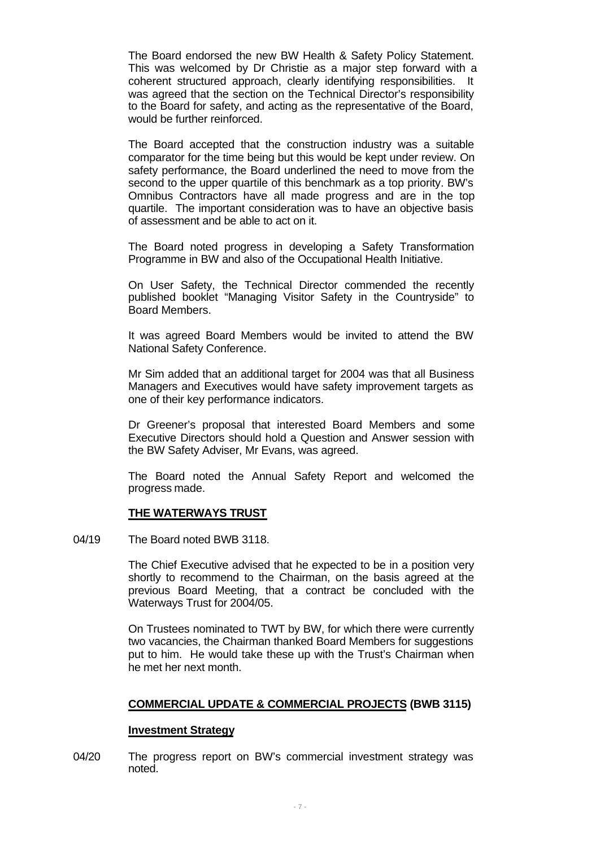The Board endorsed the new BW Health & Safety Policy Statement. This was welcomed by Dr Christie as a major step forward with a coherent structured approach, clearly identifying responsibilities. It was agreed that the section on the Technical Director's responsibility to the Board for safety, and acting as the representative of the Board, would be further reinforced.

The Board accepted that the construction industry was a suitable comparator for the time being but this would be kept under review. On safety performance, the Board underlined the need to move from the second to the upper quartile of this benchmark as a top priority. BW's Omnibus Contractors have all made progress and are in the top quartile. The important consideration was to have an objective basis of assessment and be able to act on it.

The Board noted progress in developing a Safety Transformation Programme in BW and also of the Occupational Health Initiative.

On User Safety, the Technical Director commended the recently published booklet "Managing Visitor Safety in the Countryside" to Board Members.

It was agreed Board Members would be invited to attend the BW National Safety Conference.

Mr Sim added that an additional target for 2004 was that all Business Managers and Executives would have safety improvement targets as one of their key performance indicators.

Dr Greener's proposal that interested Board Members and some Executive Directors should hold a Question and Answer session with the BW Safety Adviser, Mr Evans, was agreed.

The Board noted the Annual Safety Report and welcomed the progress made.

#### **THE WATERWAYS TRUST**

04/19 The Board noted BWB 3118.

The Chief Executive advised that he expected to be in a position very shortly to recommend to the Chairman, on the basis agreed at the previous Board Meeting, that a contract be concluded with the Waterways Trust for 2004/05.

On Trustees nominated to TWT by BW, for which there were currently two vacancies, the Chairman thanked Board Members for suggestions put to him. He would take these up with the Trust's Chairman when he met her next month.

#### **COMMERCIAL UPDATE & COMMERCIAL PROJECTS (BWB 3115)**

#### **Investment Strategy**

04/20 The progress report on BW's commercial investment strategy was noted.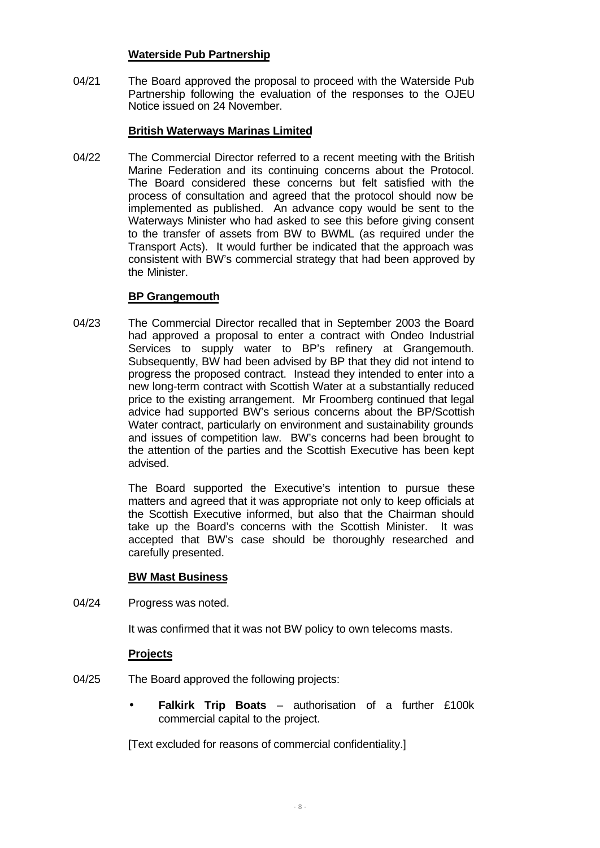### **Waterside Pub Partnership**

04/21 The Board approved the proposal to proceed with the Waterside Pub Partnership following the evaluation of the responses to the OJEU Notice issued on 24 November.

## **British Waterways Marinas Limited**

04/22 The Commercial Director referred to a recent meeting with the British Marine Federation and its continuing concerns about the Protocol. The Board considered these concerns but felt satisfied with the process of consultation and agreed that the protocol should now be implemented as published. An advance copy would be sent to the Waterways Minister who had asked to see this before giving consent to the transfer of assets from BW to BWML (as required under the Transport Acts). It would further be indicated that the approach was consistent with BW's commercial strategy that had been approved by the Minister.

### **BP Grangemouth**

04/23 The Commercial Director recalled that in September 2003 the Board had approved a proposal to enter a contract with Ondeo Industrial Services to supply water to BP's refinery at Grangemouth. Subsequently, BW had been advised by BP that they did not intend to progress the proposed contract. Instead they intended to enter into a new long-term contract with Scottish Water at a substantially reduced price to the existing arrangement. Mr Froomberg continued that legal advice had supported BW's serious concerns about the BP/Scottish Water contract, particularly on environment and sustainability grounds and issues of competition law. BW's concerns had been brought to the attention of the parties and the Scottish Executive has been kept advised.

> The Board supported the Executive's intention to pursue these matters and agreed that it was appropriate not only to keep officials at the Scottish Executive informed, but also that the Chairman should take up the Board's concerns with the Scottish Minister. It was accepted that BW's case should be thoroughly researched and carefully presented.

## **BW Mast Business**

04/24 Progress was noted.

It was confirmed that it was not BW policy to own telecoms masts.

## **Projects**

- 04/25 The Board approved the following projects:
	- **· Falkirk Trip Boats** authorisation of a further £100k commercial capital to the project.

[Text excluded for reasons of commercial confidentiality.]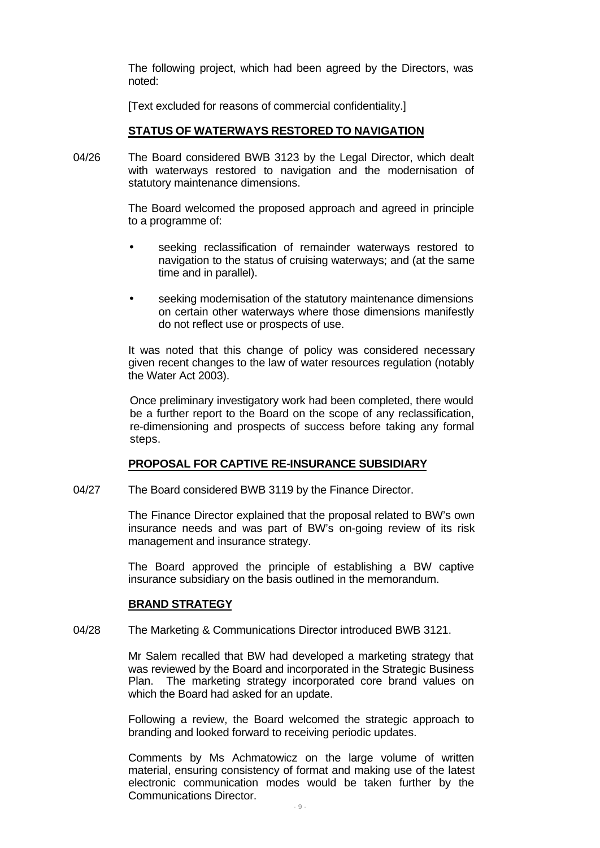The following project, which had been agreed by the Directors, was noted:

[Text excluded for reasons of commercial confidentiality.]

#### **STATUS OF WATERWAYS RESTORED TO NAVIGATION**

04/26 The Board considered BWB 3123 by the Legal Director, which dealt with waterways restored to navigation and the modernisation of statutory maintenance dimensions.

> The Board welcomed the proposed approach and agreed in principle to a programme of:

- **·** seeking reclassification of remainder waterways restored to navigation to the status of cruising waterways; and (at the same time and in parallel).
- **·** seeking modernisation of the statutory maintenance dimensions on certain other waterways where those dimensions manifestly do not reflect use or prospects of use.

It was noted that this change of policy was considered necessary given recent changes to the law of water resources regulation (notably the Water Act 2003).

Once preliminary investigatory work had been completed, there would be a further report to the Board on the scope of any reclassification, re-dimensioning and prospects of success before taking any formal steps.

#### **PROPOSAL FOR CAPTIVE RE-INSURANCE SUBSIDIARY**

04/27 The Board considered BWB 3119 by the Finance Director.

The Finance Director explained that the proposal related to BW's own insurance needs and was part of BW's on-going review of its risk management and insurance strategy.

The Board approved the principle of establishing a BW captive insurance subsidiary on the basis outlined in the memorandum.

#### **BRAND STRATEGY**

04/28 The Marketing & Communications Director introduced BWB 3121.

Mr Salem recalled that BW had developed a marketing strategy that was reviewed by the Board and incorporated in the Strategic Business Plan. The marketing strategy incorporated core brand values on which the Board had asked for an update.

Following a review, the Board welcomed the strategic approach to branding and looked forward to receiving periodic updates.

Comments by Ms Achmatowicz on the large volume of written material, ensuring consistency of format and making use of the latest electronic communication modes would be taken further by the Communications Director.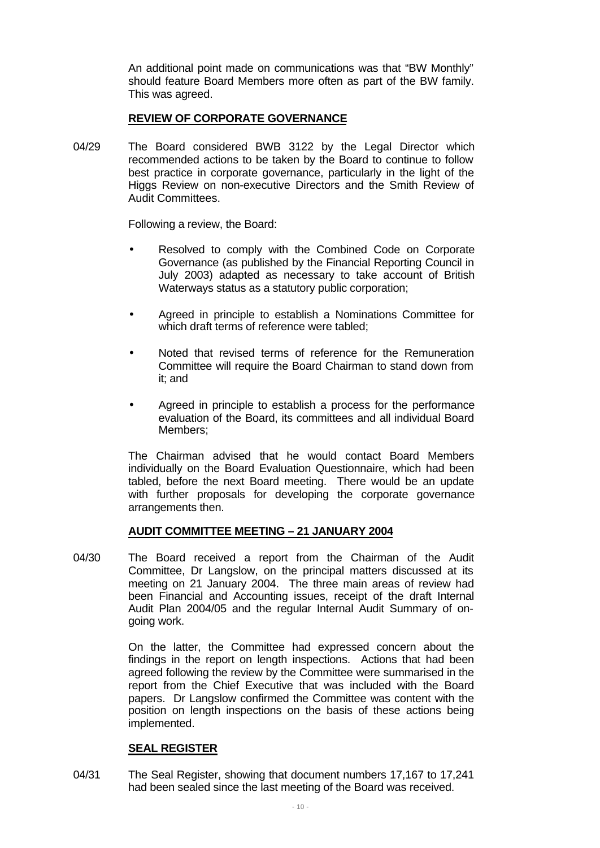An additional point made on communications was that "BW Monthly" should feature Board Members more often as part of the BW family. This was agreed.

## **REVIEW OF CORPORATE GOVERNANCE**

04/29 The Board considered BWB 3122 by the Legal Director which recommended actions to be taken by the Board to continue to follow best practice in corporate governance, particularly in the light of the Higgs Review on non-executive Directors and the Smith Review of Audit Committees.

Following a review, the Board:

- **·** Resolved to comply with the Combined Code on Corporate Governance (as published by the Financial Reporting Council in July 2003) adapted as necessary to take account of British Waterways status as a statutory public corporation;
- **·** Agreed in principle to establish a Nominations Committee for which draft terms of reference were tabled:
- **·** Noted that revised terms of reference for the Remuneration Committee will require the Board Chairman to stand down from it; and
- **·** Agreed in principle to establish a process for the performance evaluation of the Board, its committees and all individual Board Members;

The Chairman advised that he would contact Board Members individually on the Board Evaluation Questionnaire, which had been tabled, before the next Board meeting. There would be an update with further proposals for developing the corporate governance arrangements then.

#### **AUDIT COMMITTEE MEETING – 21 JANUARY 2004**

04/30 The Board received a report from the Chairman of the Audit Committee, Dr Langslow, on the principal matters discussed at its meeting on 21 January 2004. The three main areas of review had been Financial and Accounting issues, receipt of the draft Internal Audit Plan 2004/05 and the regular Internal Audit Summary of ongoing work.

> On the latter, the Committee had expressed concern about the findings in the report on length inspections. Actions that had been agreed following the review by the Committee were summarised in the report from the Chief Executive that was included with the Board papers. Dr Langslow confirmed the Committee was content with the position on length inspections on the basis of these actions being implemented.

#### **SEAL REGISTER**

04/31 The Seal Register, showing that document numbers 17,167 to 17,241 had been sealed since the last meeting of the Board was received.